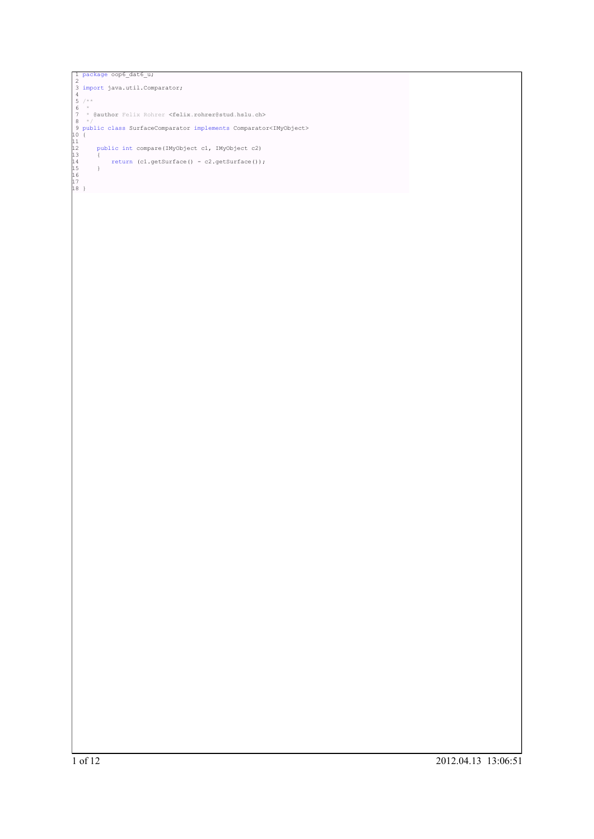```
] package oop6_dat6_u;<br>
3 import java.util.Comparator;<br>
4<br>
5 /**<br>
6 *<br>
7 * @author Felix Rohrer ≺felix.rohrer@stud.hslu.ch><br>
8 */<br>
9 public class SurfaceComparator implements Comparator≺IMyObject><br>
9 public int compare (I
1 of 12 2012.04.13 13:06:51
```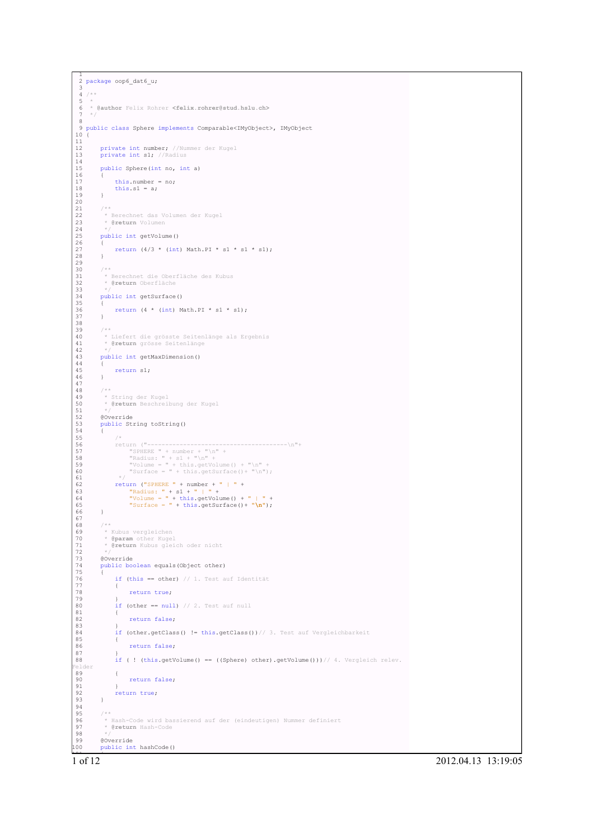```
1
2 package oop6_dat6_u;
  3
4 /**
  5 *
 6 * @author Felix Rohrer <felix.rohrer@stud.hslu.ch>
  7 */
 8
  9 public class Sphere implements Comparable<IMyObject>, IMyObject
10 \left(11<br>1212 private int number; //Nummer der Kugel<br>13 private int s1; //Radius
13<br>14<br>15public Sphere(int no, int a)
 16 {
               this_number = no;this.s1 = a;
 19 }
20
 21 /**<br>22 * Berechnet das Volumen der Kugel<br>23 * @return Volumen<br>24 */
21 /**<br>
22 * Berechnet das Volum<br>
23 * @return Volumen<br>
24 */<br>
25 public int getVolume()
 26 {
         return (4/3 * (int) Math.PI * s1 * s1 * s1);28 }
29
         7 * 331 * Berechnet die Oberfläche des Kubus
32 * @return Oberfläche
 33 * /public int getSurface()
 35 {
          return (4 * (int) Math.PI * s1 * s1);37 }
38
 39 /**<br>40 * Liefert die grösste Seitenlänge als Ergebnis<br>41 * @return grösse Seitenlänge<br>42 */
          public int getMaxDimension()
 44 {
          ^{\circ} return s1;
 46 }
 47
          7 * *49 * String der Kugel
50 * @return Beschreibung der Kugel
 51 */
          52 @Override
          public String toString()
 54 {
 55 /*
56 return ("---------------------------------------\n"+
57 "SPHERE " + number + "\n" +
58 "Radius: " + s1 + "\n" +
59 "Volume = " + this.getVolume() + "\n" +
60 "Surface = " + this.getSurface()+ "\n");
61 */
55 <br>
for the matric of the matrices of the matrix<br>
for the matrix of the matrix of the matrix of the matrix<br>
for the matrix of the matrix of the matrix of the matrix<br>
for the matrix of the matrix of the matrix of the matri
 63 "Radius: " + s1 + " | " +
64 "Volume = " + this.getVolume() + " | " +
65 "Surface = " + this.getSurface()+ "\n");
 66 }
67
 68 /**
69 * Kubus vergleichen
70 * @param other Kugel
           71 * @return Kubus gleich oder nicht
 72 */
          @Override
          public boolean equals(Object other)
 75 {
               if (this == other) // 1. Test auf Identität
 77 {
                      return true;
 79 }
                if (other == null) // 2. Test auf null
 81 {
                     return false;
 83 }
                if (other.getClass() != this.getClass())// 3. Test auf Vergleichbarkeit
85<br>86
                     return false;
\begin{array}{c} 87 \\ 88 \end{array}if ( ! (this.getVolume() == ((Sphere) other).getVolume()))// 4. Vergleich relev.
Felder
89 {
               {<br>teturn false;
91 }
         return true;
 93 }
94
          7 *96 * Hash-Code wird bassierend auf der (eindeutigen) Nummer definiert
            * @return Hash-Code
96<br>97<br>98<br>99<br>99<br>100
99 @Override
100 public int hashCode()
```
1 of 12 2012.04.13 13:19:05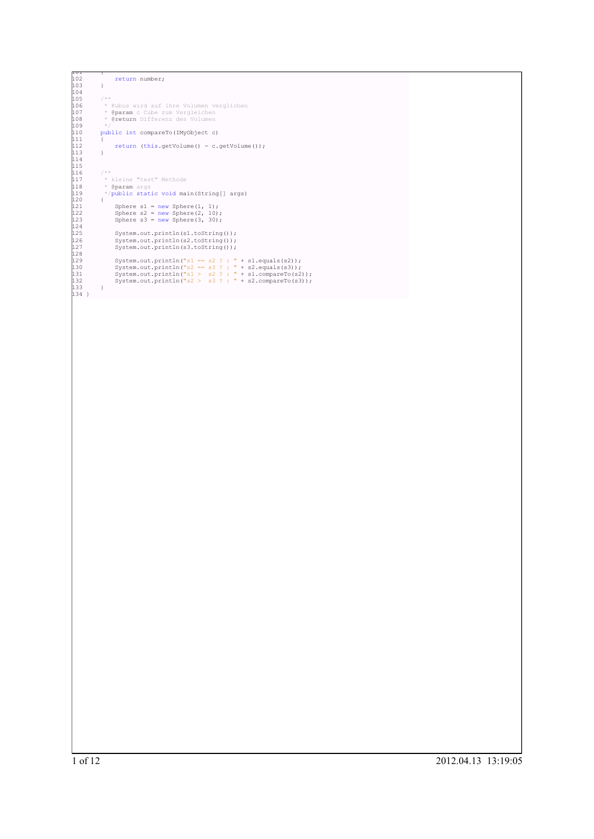```
101 {
              return number;
103 }
104
105 /**<br>106 * Kubus wird auf ihre Volumen verglichen<br>107 * @param c Cube zum Vergleichen<br>108 * @return Differenz des Volumen<br>109 */
              110 public int compareTo(IMyObject c) {
111 {
              1<br>2 return (this.getVolume() - c.getVolume());<br>3
113 }
114
115
116 /**<br>117 * kleine "test" Methode<br>118 * @param args<br>119 */public static void main(String[] args)
120 {
121 Sphere s1 = new Sphere(1, 1);
122 Sphere s2 = new Sphere(2, 10);
123 Sphere s3 = new Sphere(3, 30);
124
125 System.out.println(s1.toString());
126 System.out.println(s2.toString());
127 System.out.println(s3.toString());
128
129 System.out.println("s1 == s2 ? : " + s1.equals(s2));<br>130 System.out.println("s2 == s3 ? : " + s2.equals(s3));<br>131 System.out.println("s1 > s2 ? : " + s1.compareTo(s2));<br>132 System.out.println("s2 > s3 ? : " + s2.compa
133 }
134 }
```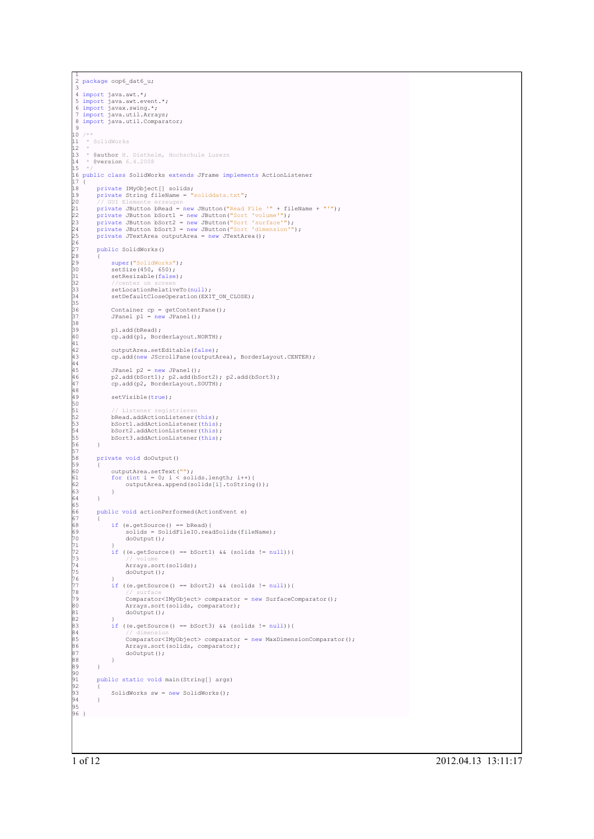```
1
2 package oop6_dat6_u;
 3
4 import java.awt.*;
 5 import java.awt.event.*;
6 import javax.swing.*;
7 import java.util.Arrays;
 8 import java.util.Comparator;
 \sim10 / * ** SolidWorks
\frac{1}{12}13 * @author H. Diethelm, Hochschule Luzern
14 * @version 6.4.2008
\frac{1}{13}<br>\frac{1}{4}<br>\frac{1}{5}16 public class SolidWorks extends JFrame implements ActionListener
17 {
18 private IMyObject[] solids;
19 private String fileName = "soliddata.txt";
% // GUI Elemente erzeugen<br>20 // GUI Elemente erzeugen<br>22 private JButton bRead = new JButton ("Read File '" + fileName + "'");<br>23 private JButton bSort2 = new JButton ("Sort 'surface'");<br>24 private JButton bSort2 = new JB
26<br>27
         public SolidWorks()
\overline{28}29 super("SolidWorks");<br>30 setSize(450, 650);<br>31 setResizable(false);
32 //center on screen
33 setLocationRelativeTo(null);
              setDefaultCloseOperation(EXIT_ON_CLOSE);
35
36 Container cp = getContentPane();
37 JPanel p1 = new JPanel();
38
              p1.add(bRead);
              cp.add(p1, BorderLayout.NORTH);
41
              outputArea.setEditable(false);
              cp.add(new JScrollPane(outputArea), BorderLayout.CENTER);
44
              JPanel p2 = new JPanel():
              p2.add(bSort1); p2.add(bSort2); p2.add(bSort3);cp.add(p2, BorderLayout.SOUTH);
48
              setVisible(true);
50
51 // Listener registrieren
52 bRead.addActionListener(this);
              53 bSort1.addActionListener(this);
               54 bSort2.addActionListener(this);
         bSort3.addActionListener(this);
56 }
57
         private void doOutput()
58<br>59<br>60<br>61<br>62
60 outputArea.setText("");
61 for (int i = 0; i < solids.length; i++){
62 outputArea.append(solids[i].toString());
63 }
64 }
65
         66 public void actionPerformed(ActionEvent e)
67 {
68 if (e.getSource() == bRead){
69 solids = SolidFileIO.readSolids(fileName);
70 doOutput();
71 }
              if ((e.getSource() == bSort1) && (solids != null)){
73 // volume
                    Arrays.sort(solids);
                    doOutput();
76 }
              77 if ((e.getSource() == bSort2) && (solids != null)){
78 // surface
                    79 Comparator<IMyObject> comparator = new SurfaceComparator();
80 Arrays.sort(solids, comparator);
81 doOutput();
82<br>83<br>84<br>85<br>86
              if ((e.getSource() == bSort3) & (solids != null) {
84 // dimension
85 Comparator<IMyObject> comparator = new MaxDimensionComparator();
86 Arrays.sort(solids, comparator);
              doOutput();
88 }
89 }
90
         public static void main(String[] args)
92<br>93
         SolidWorks sw = new SolidWorks();
94 }
95
96 }
```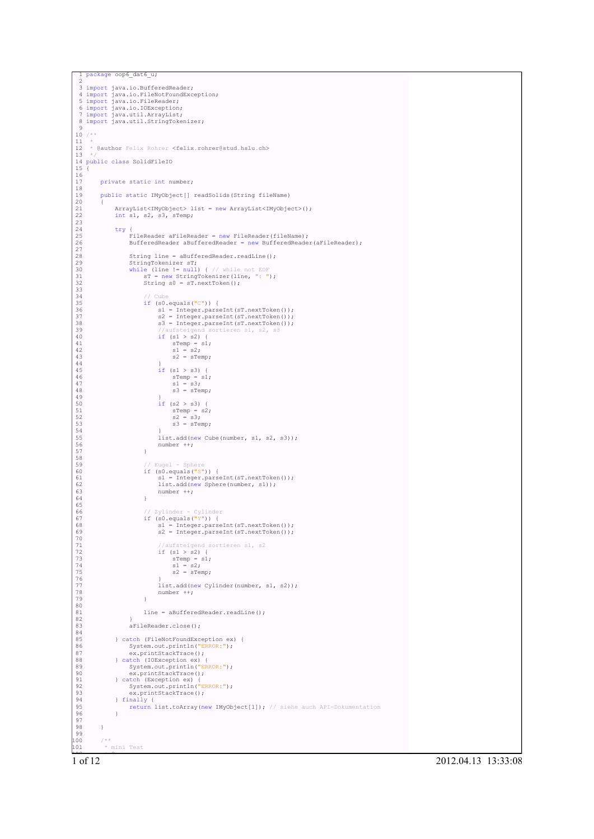```
package oop6_dat6_u;
   2
  3 import java.io.BufferedReader;
   4 import java.io.FileNotFoundException;
5 import java.io.FileReader;
   6 import java.io.IOException;
7 import java.util.ArrayList;
 8 import java.util.StringTokenizer;
 9
10 /**
 11<br>12* @author Felix Rohrer <felix.rohrer@stud.hslu.ch>
 13 */
14 public class SolidFileIO
15 {
 16
           private static int number;
 18
           19 public static IMyObject[] readSolids(String fileName)
 20 {
 21 ArrayList<IMyObject> list = new ArrayList<IMyObject>();
22 int s1, s2, s3, sTemp;
23
 24 try {
25 FileReader aFileReader = new FileReader(fileName);
                        26 BufferedReader aBufferedReader = new BufferedReader(aFileReader);
26<br>27<br>28<br>29<br>29<br>30
                        String line = aBufferedReader.readLine();
 29 StringTokenizer sT;<br>
30 while (line != null) { // while not EOF<br>
31 sT = new StringTokenizer(line, ": ");<br>
32 String s0 = sT.nextToken();
\begin{array}{l} 31 \\ 32 \\ 33 \\ 34 \\ 35 \\ 56 \\ 37 \\ 8 \\ 9 \\ 40 \\ 41 \\ 42 \\ 43 \\ 44 \\ 45 \\ 46 \\ \end{array}34 // Cube
35 if (s0.equals("C")) {
 36 s1 = Integer.parseInt(sT.nextToken());
37 s2 = Integer.parseInt(sT.nextToken());
                                     s3 = Integer.parseInt(sT.nextToken());
                                                           sortieren s1, s2, s3
                                    \frac{1}{4} //aufsteigend<br>if (s1 > s2) {
 41 sTemp = s1;<br>
42 s1 = s2;<br>
43 s2 = sTemp;44 }
                                     \intif (s1 > s3) {
46<br>
46<br>
46<br>
47<br>
51 = 3,<br>
49<br>
51 = 3,<br>
51<br>
52<br>
53<br>
54<br>
54<br>
54<br>
54<br>
54<br>
85<br>
83 = sTemp;<br>
83 = sTemp;<br>
83 = sTemp;<br>
83 = sTemp;<br>
83 = sTemp;<br>
83 = sTemp;<br>
83 = sTemp;<br>
83 = sTemp;<br>
83 = sTemp;<br>
83 = sTemp;<br>
83 = sTemp;<br>
83 = 
 47 s1 = s3;<br>48 s3 = sTemp;49 }
                                     if (s2 > s3) {
 51 sTemp = s2;<br>
52 s2 = s3;<br>
53 s3 = sTemp;
 54 }
                                     55 list.add(new Cube(number, s1, s2, s3));
                              number ++;
 57 }
58
 59 // Kugel - Sphere<br>60 if (s0.equals("S")) {<br>61 s1 = Integer.parseInt(sT.nextToken());<br>62 list.add(new Sphere(number, s1));
 \begin{array}{c} \text{S} \\ 63 \\ \text{number} \\ 64 \end{array} ++;
 64 }
 65
 66 // Zylinder - Cylinder<br>67 if (s0.equals("Y")) {<br>68 s2 = Integer.parseInt(sT.nextToken());<br>s2 = Integer.parseInt(sT.nextToken());
 70
 71 //aufsteigend sortieren s1, s2<br>
72 if (s1 > s2) {<br>
sTemp = s1;<br>
81 = s2;<br>
82 = sTemp;
 76 }
                                     77 list.add(new Cylinder(number, s1, s2));
                              number ++;79 }
80
                              line = aBufferedReader.readLine();
 82 }
                        aFileReader.close();
 84
 85 } catch (FileNotFoundException ex) {<br>86 $ystem.out.println("ERROR:");
 87 ex.printStackTrace();<br>
88 } catch (IOException ex) {<br>
90 ex.printStackTrace();<br>
91 } catch (Exception ex) {<br>
92 System.out.print["ERROR:");<br>
93 ex.printStackTrace();<br>
93 ex.printStackTrace();
 94 } finally {
95 return list.toArray(new IMyObject[1]); // siehe auch API-Dokumentation
 96 }
97
98 }
99
100 /**
101 * mini Test
```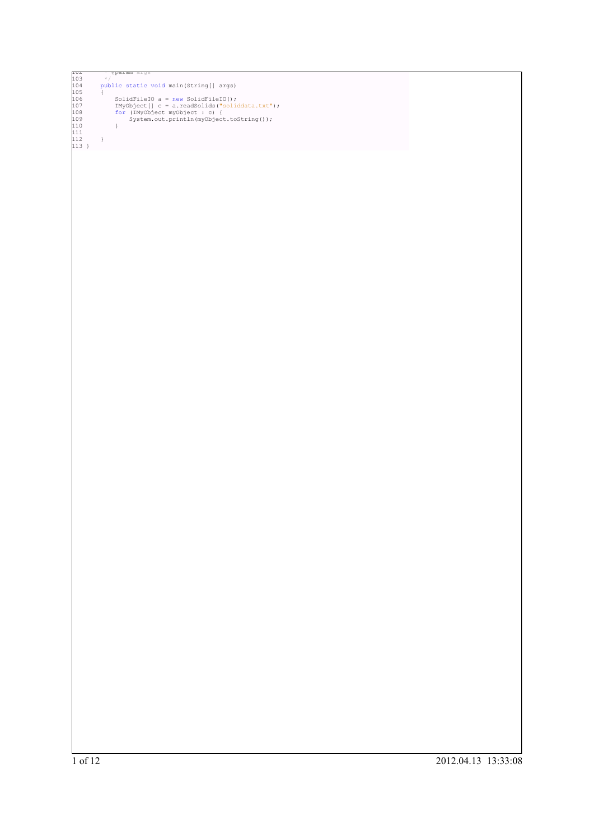```
102 * @param args
103 */
104 public static void main(String[] args)
105 {
106 SolidFileIO a = new SolidFileIO();<br>107 IMyObject[] c = a.readSolids("soliddata.txt");<br>108 for (IMyObject myObject : c) {<br>109 System.out.println(myObject.toString());
110 }<br>111<br>112 }<br>113 }
```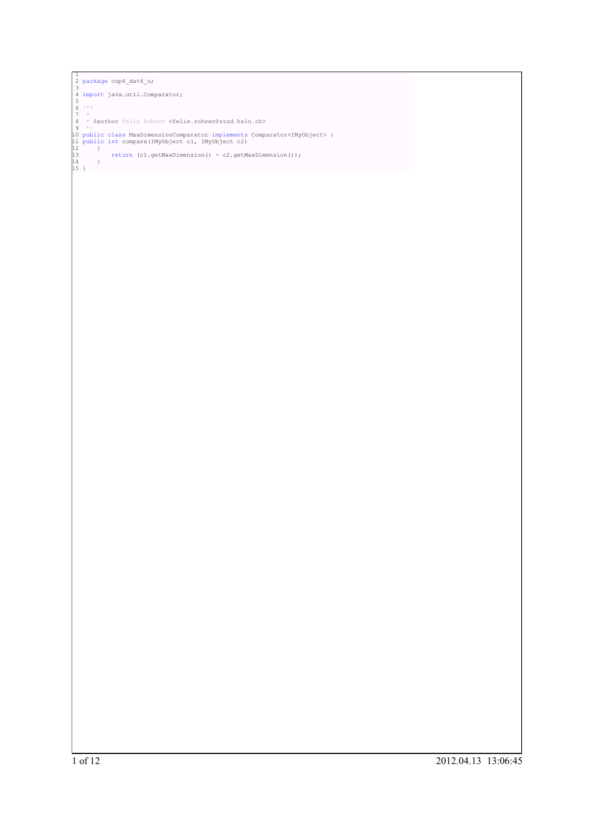```
<sup>1</sup><br>
2 package oop6_dat6_u;<br>
3<br>
4 import java.util.Comparator;<br>
6 /**<br>
6 /**<br>
7 *<br>
8 * @author Felix Rohrer <felix.rohrer@stud.hslu.ch><br>
9 */<br>
10 public class MaxDimensionComparator implements Comparator<IMyObject> {<br>
12 1
```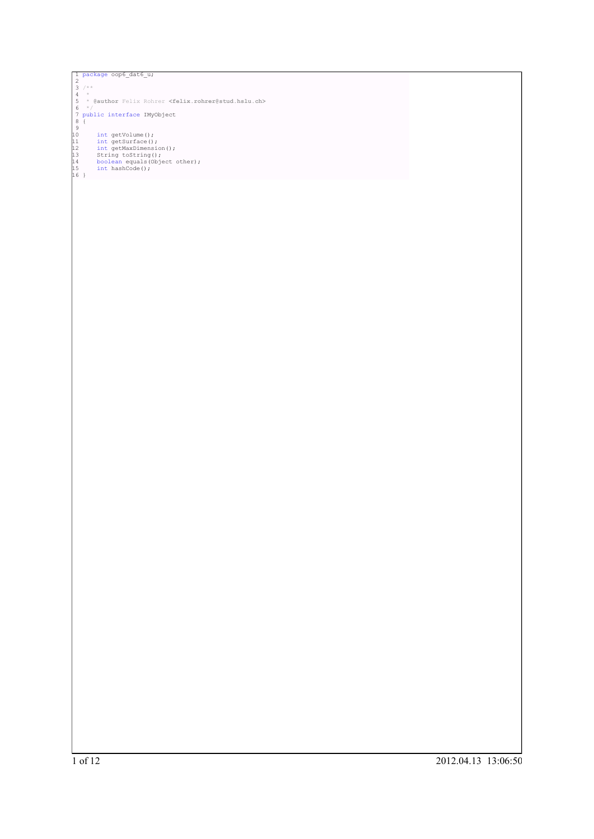```
]<br>
2 package oop6_dat6_u;<br>
3 /**<br>
4 *<br>
4 *<br>
5 * (eauthor Felix Rohrer <felix.rohrer@stud.hslu.ch><br>
5 */<br>
7 public interface IMyObject<br>
8 {<br>
10 int getVolume ();<br>
9 int getWarManension ();<br>
11 intertMaxDimension ();<br>
13 s
```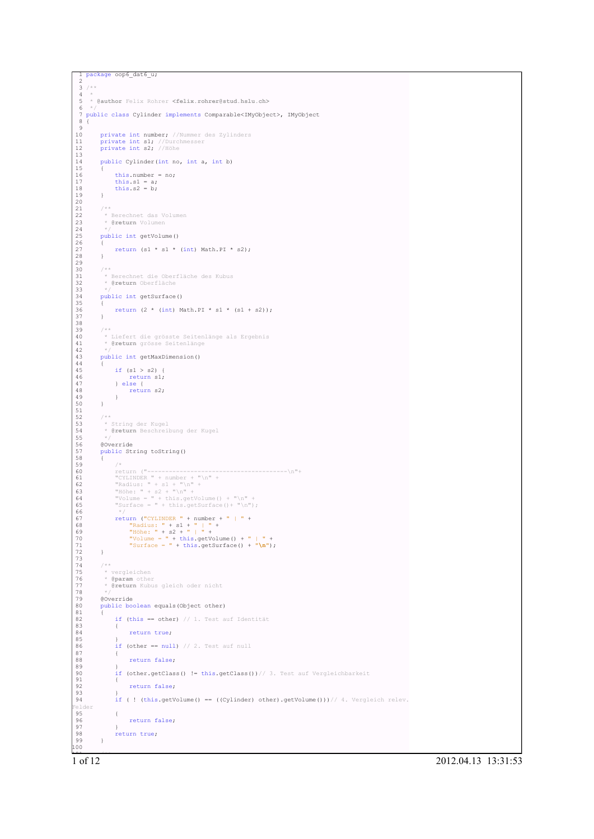```
1 package oop6_dat6_u;
2
```

```
\frac{3}{4} /**
  4 *
5 * @author Felix Rohrer <felix.rohrer@stud.hslu.ch>
  6 +7 public class Cylinder implements Comparable<IMyObject>, IMyObject
 8 {
1010 private int number; //Nummer des Zylinders<br>11 private int s1; //Durchmesser<br>12 private int s2; //Höhe
 11 private int s1; //Durchmesser
12 private int s2; //Höhe
 13
          public Cylinder(int no, int a, int b)
 15 {
                this.number = no;17 this.s1 = a;<br>18 this.s2 = b;
 19 }
20
          722 * Berechnet das Volumen
23 * @return Volumen
\begin{array}{l} 21 \\ 22 \\ 23 \\ 24 \\ 25 \end{array}public int getVolume()
 26 {
          return (s1 * s1 * (int) Math.PI * s2);
 28 }
29
          7 * 331 * Berechnet die Oberfläche des Kubus
32 * @return Oberfläche
 33 * /public int getSurface()
 35 {
          return (2 * (int) Math.PI * s1 * (s1 + s2));
 37 }
38
 39 /**<br>40 * Liefert die grösste Seitenlänge als Ergebnis<br>41 * @return grösse Seitenlänge<br>42 */
          public int getMaxDimension()
 44 {
               if (s1 > s2) {
                       return s1;47 } else {
48 return s2;
49 }
 50 }
51
          7**53 * String der Kugel
54 * @return Beschreibung der Kugel
 55 */
 56 @Override
57 public String toString()
 58 {
 59 /*
60 return ("---------------------------------------\n"+
61 "CYLINDER " + number + "\n" +
62 "Radius: " + s1 + "\n" +
63 "Höhe: " + s2 + "\n" +
64 "Volume = " + this.getVolume() + "\n" +
65 "Surface = " + this.getSurface()+ "\n");
66 */
 67 return ("CYLINDER " + number + " | " +<br>
68 "Radius: " + s1 + " | " +<br>
"Höhe: " + s2 + " | " +<br>
70 "Volume = " + this.getVolume() + " | " +<br>
"Surface = " + this.getSurface() + "\n");
 72 }
73
          7 * *75 * vergleichen
76 * @param other
77 * @return Kubus gleich oder nicht
 78 */
          79 @Override
          public boolean equals(Object other)
 81 {
                 if (this == other) // 1. Test auf Identität
82 ii<br>
83 {<br>
84return true;
85 }
                 if (other == null) // 2. Test auf null
\begin{matrix} 87 & \hspace{1.5cm} \{ \\ 88 & \hspace{1.5cm} \end{matrix}return false;
89 }
                 if (other.getClass() != this.getClass())// 3. Test auf Vergleichbarkeit
\begin{array}{ccc} 90 & & & 1 \\ 91 & & & 1 \end{array}return false;
92<br>93<br>94if ( ! (this.getVolume() == ((Cylinder) other).getVolume()))// 4. Vergleich relev.
Felder
95 {
 96 return false;<br>97 }
98 return true;<br>99 }
99 }
100
```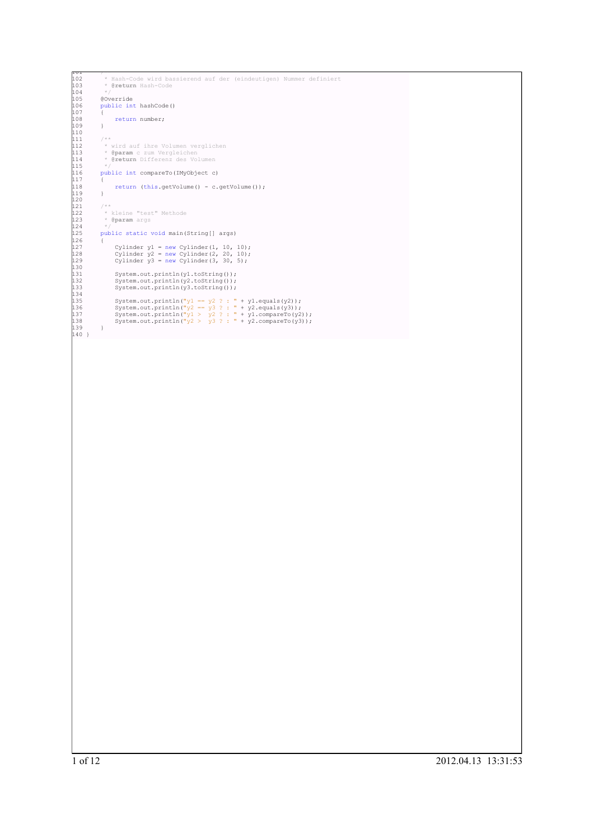```
101 /**
102 * Hash-Code wird bassierend auf der (eindeutigen) Nummer definiert
103 * @return Hash-Code
104 \times105 @Override
                public int hashCode()
107 {
               {<br>}<br>}<br>}
109 }
110
111 /**<br>112 * wird auf ihre Volumen verglichen<br>113 * @param c zum Vergleichen<br>114 * @return Differenz des Volumen<br>115 */
               public int compareTo(IMyObject c)
115<br>116<br>117{<br> 118<br> return (this.getVolume() - c.getVolume());
119 }
120
121 /**
122 * kleine "test" Methode
123 * @param args
124 */
125 public static void main(String[] args)
122<br>123<br>124<br>125<br>126<br>127
127 Cylinder y1 = new Cylinder(1, 10, 10);
128 Cylinder y2 = new Cylinder(2, 20, 10);
129 Cylinder y3 = new Cylinder(3, 30, 5);
12 /<br>12 8<br>12 9<br>13 0<br>13 1<br>13 1
131 System.out.println(y1.toString());
132 System.out.println(y2.toString());
133 System.out.println(y3.toString());
133<br>133<br>134<br>135<br>136<br>137
135 System.out.println("y1 == y2 ? : " + y1.equals(y2));<br>
136 System.out.println("y2 == y3 ? : " + y2.equals(y3));<br>
137 System.out.println("y1 > y2 ? : " + y1j.compareTo(<math>y2));<br>
138 System.out.println("y2 > y3 ? : " + y2'].compareTo(y3));
139 }
140 }
```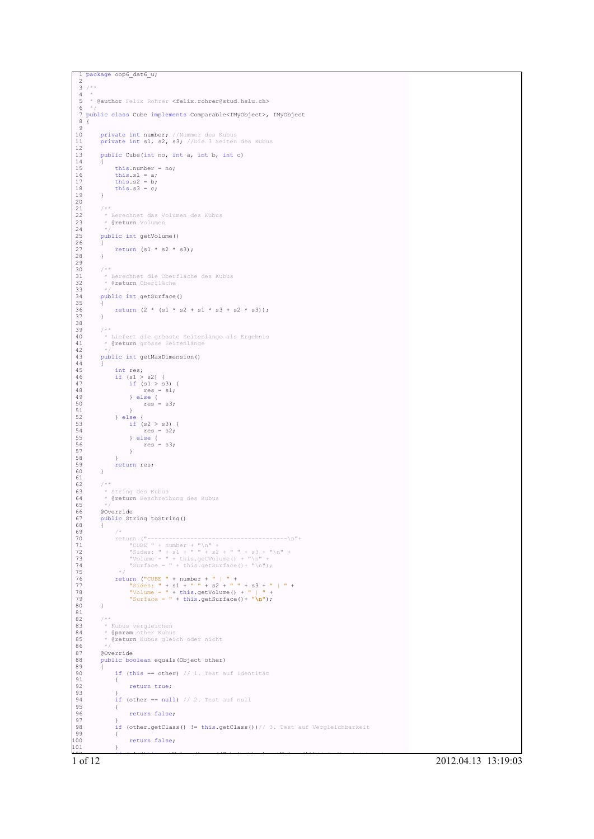```
1 package oop6_dat6_u;
2
 \frac{3}{4} /**
  4 *
5 * @author Felix Rohrer <felix.rohrer@stud.hslu.ch>
 6 +7 public class Cube implements Comparable<IMyObject>, IMyObject
 8 {
10private int number; //Nummer des Kubus
         private int s1, s2, s3; //Die 3 Seiten des Kubus
11<br>12public Cube(int no, int a, int b, int c)
13<br>14<br>15this.number = no;16 this.s1 = a;<br>17 this.s2 = b;
         this.s3 = c;
 19 }
20
         722 * Berechnet das Volumen des Kubus
23 * @return Volumen
\begin{array}{l} 21 \\ 22 \\ 23 \\ 24 \\ 25 \end{array}public int getVolume()
 26 {
         return (s1 * s2 * s3);
 28 }
29
         7 * 331 * Berechnet die Oberfläche des Kubus
32 * @return Oberfläche
 33 * /public int getSurface()
 35 {
          return (2 * (s1 * s2 + s1 * s3 + s2 * s3));37 }
38
 39 /**<br>40 * Liefert die grösste Seitenlänge als Ergebnis<br>41 * @return grösse Seitenlänge<br>42 */
         public int getMaxDimension()
 44 {
 45 int res;
46 if (s1 > s2) {
 47 if (s1 > s3) {
48 res = s1;
49 } else {
50 res = s3;
 51 }
52 } else {
53 if (s2 > s3) {
54 res = s2;
 55 } else {<br>
56 <br>
57 }
 58 }
         \intreturn res;
 60 }
61
62 /**<br>
63 *<br>
64 *
 63 * String des Kubus
64 * @return Beschreibung des Kubus
 65 */
 66 @Override
67 public String toString()
 68 {
69 /*
 70 return ("---------------------------------------\n"+
71 "CUBE " + number + "\n" +
72 "Sides: " + s1 + " " + s2 + " " + s3 + "\n" +
73 "Volume = " + this.getVolume() + "\n" +
74 "Surface = " + this.getSurface()+ "\n");
 75 */
76 return ("CUBE " + number + " | " +
77 "Sides: " + s1 + " " + s2 + " " + s3 + " | " +
78 "Volume = " + this.getVolume() + " | " +
79 "Surface = " + this.getSurface()+ "\n");
 80 }
81
 82 /**
83 * Kubus vergleichen
84 * @param other Kubus
          * @return Kubus gleich oder nicht
85<br>86<br>87<br>88
          87 @Override
          public boolean equals(Object other)
 89 {
               if (this == other) // 1. Test auf Identität
 91 {
                    return true;
 93 }
               if (other == null) // 2. Test auf null
 95 {
                    return false;
 97 }
               98 if (other.getClass() != this.getClass())// 3. Test auf Vergleichbarkeit
 99 {
              100 return false;<br>}
100<br>101
```